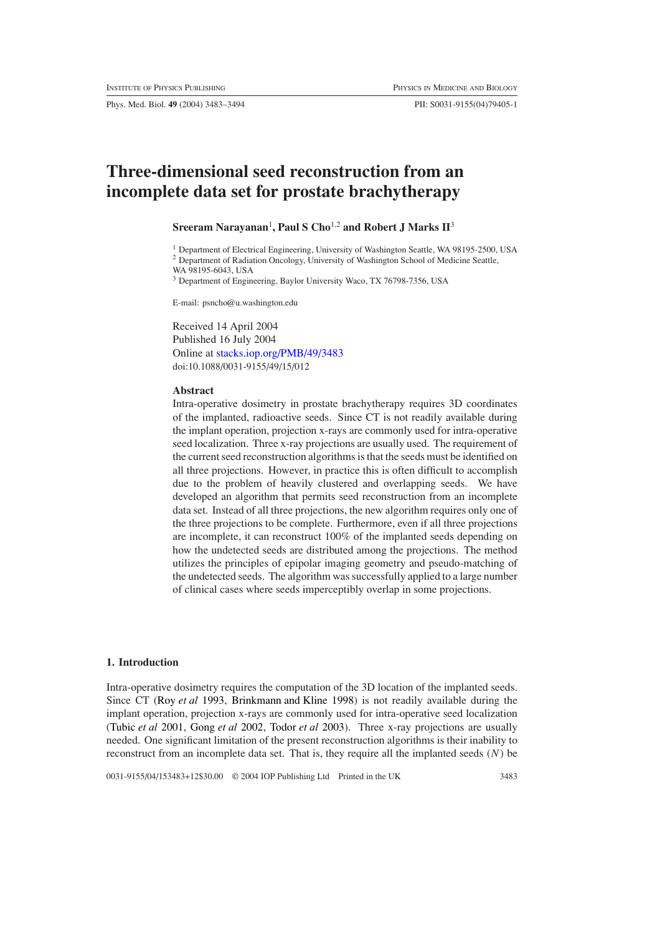Phys. Med. Biol. **49** (2004) 3483–3494 PII: S0031-9155(04)79405-1

# **Three-dimensional seed reconstruction from an incomplete data set for prostate brachytherapy**

# $S$ reeram Narayanan<sup>1</sup>, Paul S Cho<sup>1,2</sup> and Robert J Marks II<sup>3</sup>

<sup>1</sup> Department of Electrical Engineering, University of Washington Seattle, WA 98195-2500, USA

<sup>2</sup> Department of Radiation Oncology, University of Washington School of Medicine Seattle,

WA 98195-6043, USA

<sup>3</sup> Department of Engineering, Baylor University Waco, TX 76798-7356, USA

E-mail: psncho@u.washington.edu

Received 14 April 2004 Published 16 July 2004 Online at [stacks.iop.org/PMB/49/3483](http://stacks.iop.org/pb/49/3483) doi:10.1088/0031-9155/49/15/012

#### **Abstract**

Intra-operative dosimetry in prostate brachytherapy requires 3D coordinates of the implanted, radioactive seeds. Since CT is not readily available during the implant operation, projection x-rays are commonly used for intra-operative seed localization. Three x-ray projections are usually used. The requirement of the current seed reconstruction algorithms is that the seeds must be identified on all three projections. However, in practice this is often difficult to accomplish due to the problem of heavily clustered and overlapping seeds. We have developed an algorithm that permits seed reconstruction from an incomplete data set. Instead of all three projections, the new algorithm requires only one of the three projections to be complete. Furthermore, even if all three projections are incomplete, it can reconstruct 100% of the implanted seeds depending on how the undetected seeds are distributed among the projections. The method utilizes the principles of epipolar imaging geometry and pseudo-matching of the undetected seeds. The algorithm was successfully applied to a large number of clinical cases where seeds imperceptibly overlap in some projections.

#### **1. Introduction**

Intra-operative dosimetry requires the computation of the 3D location of the implanted seeds. Since CT [\(Roy](#page-11-0) *et al* [1993](#page-11-0), [Brinkmann and Kline 1998](#page-11-1)) is not readily available during the implant operation, projection x-rays are commonly used for intra-operative seed localization [\(Tubic](#page-11-2) *et al* [2001](#page-11-2), [Gong](#page-11-3) *et al* [2002](#page-11-3), [Todor](#page-11-4) *et al* [2003](#page-11-4)). Three x-ray projections are usually needed. One significant limitation of the present reconstruction algorithms is their inability to reconstruct from an incomplete data set. That is, they require all the implanted seeds *(N )* be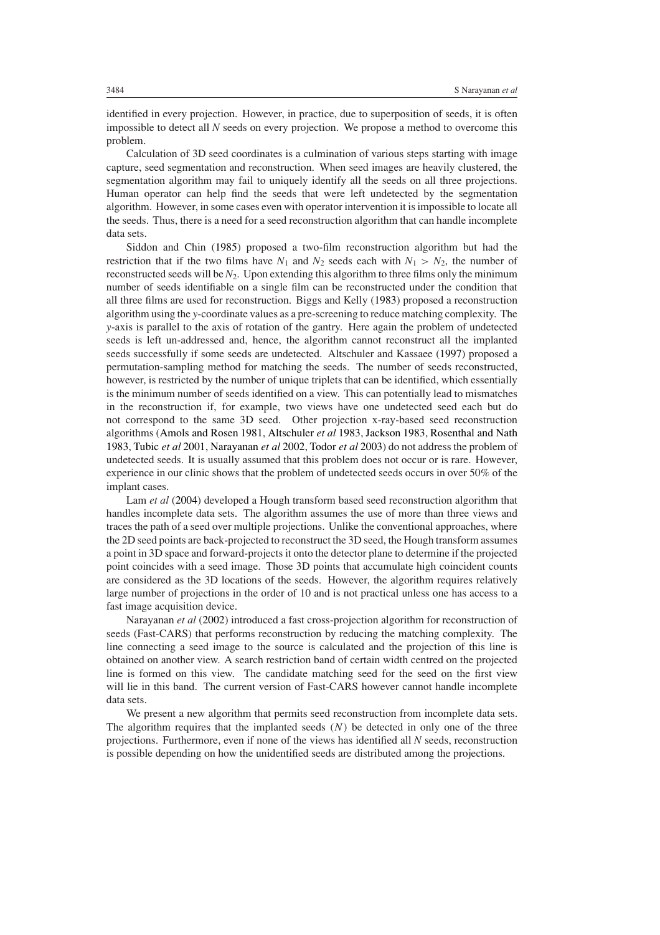identified in every projection. However, in practice, due to superposition of seeds, it is often impossible to detect all *N* seeds on every projection. We propose a method to overcome this problem.

Calculation of 3D seed coordinates is a culmination of various steps starting with image capture, seed segmentation and reconstruction. When seed images are heavily clustered, the segmentation algorithm may fail to uniquely identify all the seeds on all three projections. Human operator can help find the seeds that were left undetected by the segmentation algorithm. However, in some cases even with operator intervention it is impossible to locate all the seeds. Thus, there is a need for a seed reconstruction algorithm that can handle incomplete data sets.

Siddon and Chin [\(1985\)](#page-11-5) proposed a two-film reconstruction algorithm but had the restriction that if the two films have  $N_1$  and  $N_2$  seeds each with  $N_1 > N_2$ , the number of reconstructed seeds will be *N*2. Upon extending this algorithm to three films only the minimum number of seeds identifiable on a single film can be reconstructed under the condition that all three films are used for reconstruction. Biggs and Kelly [\(1983](#page-10-0)) proposed a reconstruction algorithm using the *y*-coordinate values as a pre-screening to reduce matching complexity. The *y*-axis is parallel to the axis of rotation of the gantry. Here again the problem of undetected seeds is left un-addressed and, hence, the algorithm cannot reconstruct all the implanted seeds successfully if some seeds are undetected. Altschuler and Kassaee [\(1997](#page-10-1)) proposed a permutation-sampling method for matching the seeds. The number of seeds reconstructed, however, is restricted by the number of unique triplets that can be identified, which essentially is the minimum number of seeds identified on a view. This can potentially lead to mismatches in the reconstruction if, for example, two views have one undetected seed each but do not correspond to the same 3D seed. Other projection x-ray-based seed reconstruction algorithms [\(Amols and Rosen 1981,](#page-10-2) [Altschuler](#page-10-3) *et al* [1983](#page-10-3), [Jackson 1983](#page-11-6), [Rosenthal and Nath](#page-11-7) [1983,](#page-11-7) [Tubic](#page-11-2) *et al* [2001](#page-11-2), [Narayanan](#page-11-8) *et al* [2002,](#page-11-8) [Todor](#page-11-4) *et al* [2003\)](#page-11-4) do not address the problem of undetected seeds. It is usually assumed that this problem does not occur or is rare. However, experience in our clinic shows that the problem of undetected seeds occurs in over 50% of the implant cases.

Lam *et al* [\(2004](#page-11-9)) developed a Hough transform based seed reconstruction algorithm that handles incomplete data sets. The algorithm assumes the use of more than three views and traces the path of a seed over multiple projections. Unlike the conventional approaches, where the 2D seed points are back-projected to reconstruct the 3D seed, the Hough transform assumes a point in 3D space and forward-projects it onto the detector plane to determine if the projected point coincides with a seed image. Those 3D points that accumulate high coincident counts are considered as the 3D locations of the seeds. However, the algorithm requires relatively large number of projections in the order of 10 and is not practical unless one has access to a fast image acquisition device.

Narayanan *et al* [\(2002\)](#page-11-8) introduced a fast cross-projection algorithm for reconstruction of seeds (Fast-CARS) that performs reconstruction by reducing the matching complexity. The line connecting a seed image to the source is calculated and the projection of this line is obtained on another view. A search restriction band of certain width centred on the projected line is formed on this view. The candidate matching seed for the seed on the first view will lie in this band. The current version of Fast-CARS however cannot handle incomplete data sets.

We present a new algorithm that permits seed reconstruction from incomplete data sets. The algorithm requires that the implanted seeds  $(N)$  be detected in only one of the three projections. Furthermore, even if none of the views has identified all *N* seeds, reconstruction is possible depending on how the unidentified seeds are distributed among the projections.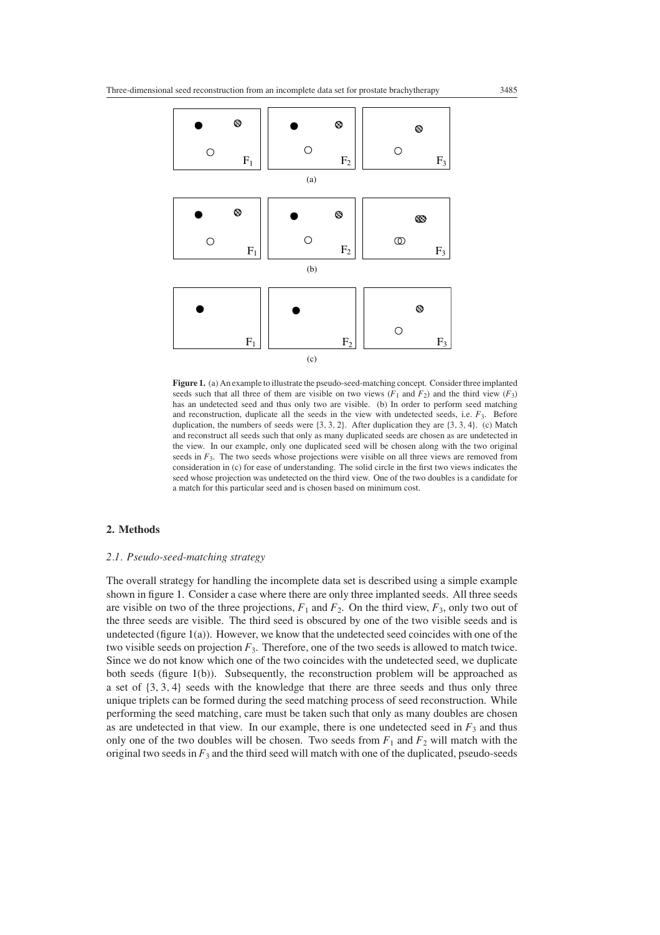

<span id="page-2-0"></span>**Figure 1.** (a) An example to illustrate the pseudo-seed-matching concept. Consider three implanted seeds such that all three of them are visible on two views  $(F_1$  and  $F_2$ ) and the third view  $(F_3)$ has an undetected seed and thus only two are visible. (b) In order to perform seed matching and reconstruction, duplicate all the seeds in the view with undetected seeds, i.e. *F*3. Before duplication, the numbers of seeds were {3*,* 3*,* 2}. After duplication they are {3*,* 3*,* 4}. (c) Match and reconstruct all seeds such that only as many duplicated seeds are chosen as are undetected in the view. In our example, only one duplicated seed will be chosen along with the two original seeds in  $F_3$ . The two seeds whose projections were visible on all three views are removed from consideration in (c) for ease of understanding. The solid circle in the first two views indicates the seed whose projection was undetected on the third view. One of the two doubles is a candidate for a match for this particular seed and is chosen based on minimum cost.

## **2. Methods**

## *2.1. Pseudo-seed-matching strategy*

The overall strategy for handling the incomplete data set is described using a simple example shown in figure [1.](#page-2-0) Consider a case where there are only three implanted seeds. All three seeds are visible on two of the three projections,  $F_1$  and  $F_2$ . On the third view,  $F_3$ , only two out of the three seeds are visible. The third seed is obscured by one of the two visible seeds and is undetected (figure  $1(a)$  $1(a)$ ). However, we know that the undetected seed coincides with one of the two visible seeds on projection *F*3. Therefore, one of the two seeds is allowed to match twice. Since we do not know which one of the two coincides with the undetected seed, we duplicate both seeds (figure [1\(](#page-2-0)b)). Subsequently, the reconstruction problem will be approached as a set of {3*,* 3*,* 4} seeds with the knowledge that there are three seeds and thus only three unique triplets can be formed during the seed matching process of seed reconstruction. While performing the seed matching, care must be taken such that only as many doubles are chosen as are undetected in that view. In our example, there is one undetected seed in  $F_3$  and thus only one of the two doubles will be chosen. Two seeds from  $F_1$  and  $F_2$  will match with the original two seeds in  $F_3$  and the third seed will match with one of the duplicated, pseudo-seeds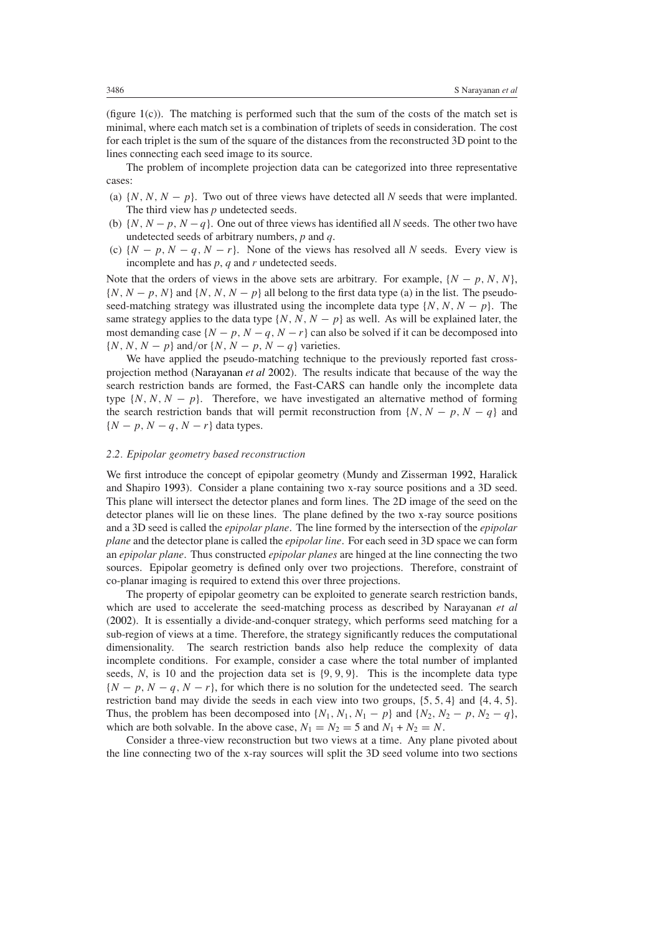(figure [1\(](#page-2-0)c)). The matching is performed such that the sum of the costs of the match set is minimal, where each match set is a combination of triplets of seeds in consideration. The cost for each triplet is the sum of the square of the distances from the reconstructed 3D point to the lines connecting each seed image to its source.

The problem of incomplete projection data can be categorized into three representative cases:

- (a)  $\{N, N, N p\}$ . Two out of three views have detected all *N* seeds that were implanted. The third view has *p* undetected seeds.
- (b) {*N,N* −*p, N* −*q*}. One out of three views has identified all *N* seeds. The other two have undetected seeds of arbitrary numbers, *p* and *q*.
- (c)  $\{N p, N q, N r\}$ . None of the views has resolved all *N* seeds. Every view is incomplete and has *p*, *q* and *r* undetected seeds.

Note that the orders of views in the above sets are arbitrary. For example,  $\{N - p, N, N\}$ ,  $\{N, N-p, N\}$  and  $\{N, N, N-p\}$  all belong to the first data type (a) in the list. The pseudoseed-matching strategy was illustrated using the incomplete data type  $\{N, N, N - p\}$ . The same strategy applies to the data type  $\{N, N, N - p\}$  as well. As will be explained later, the most demanding case  $\{N-p, N-q, N-r\}$  can also be solved if it can be decomposed into {*N,N,N* − *p*} and*/*or {*N,N* − *p, N* − *q*} varieties.

We have applied the pseudo-matching technique to the previously reported fast crossprojection method [\(Narayanan](#page-11-8) *et al* [2002\)](#page-11-8). The results indicate that because of the way the search restriction bands are formed, the Fast-CARS can handle only the incomplete data type  $\{N, N, N - p\}$ . Therefore, we have investigated an alternative method of forming the search restriction bands that will permit reconstruction from  $\{N, N - p, N - q\}$  and  ${N - p, N - q, N - r}$  data types.

#### *2.2. Epipolar geometry based reconstruction*

We first introduce the concept of epipolar geometry (Mundy and Zisserman [1992](#page-11-10), Haralick and Shapiro [1993\)](#page-11-11). Consider a plane containing two x-ray source positions and a 3D seed. This plane will intersect the detector planes and form lines. The 2D image of the seed on the detector planes will lie on these lines. The plane defined by the two x-ray source positions and a 3D seed is called the *epipolar plane*. The line formed by the intersection of the *epipolar plane* and the detector plane is called the *epipolar line*. For each seed in 3D space we can form an *epipolar plane*. Thus constructed *epipolar planes* are hinged at the line connecting the two sources. Epipolar geometry is defined only over two projections. Therefore, constraint of co-planar imaging is required to extend this over three projections.

The property of epipolar geometry can be exploited to generate search restriction bands, which are used to accelerate the seed-matching process as described by Narayanan *et al* [\(2002](#page-11-8)). It is essentially a divide-and-conquer strategy, which performs seed matching for a sub-region of views at a time. Therefore, the strategy significantly reduces the computational dimensionality. The search restriction bands also help reduce the complexity of data incomplete conditions. For example, consider a case where the total number of implanted seeds, *N*, is 10 and the projection data set is {9*,* 9*,* 9}. This is the incomplete data type  ${N - p, N - q, N - r}$ , for which there is no solution for the undetected seed. The search restriction band may divide the seeds in each view into two groups, {5*,* 5*,* 4} and {4*,* 4*,* 5}. Thus, the problem has been decomposed into  $\{N_1, N_1, N_1 - p\}$  and  $\{N_2, N_2 - p, N_2 - q\}$ , which are both solvable. In the above case,  $N_1 = N_2 = 5$  and  $N_1 + N_2 = N$ .

Consider a three-view reconstruction but two views at a time. Any plane pivoted about the line connecting two of the x-ray sources will split the 3D seed volume into two sections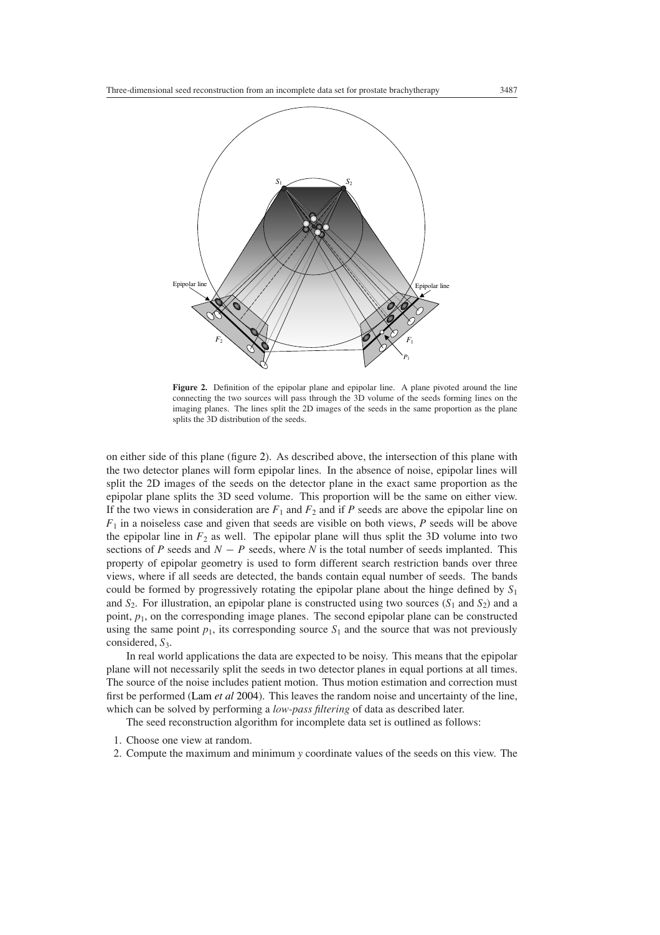

<span id="page-4-0"></span>Figure 2. Definition of the epipolar plane and epipolar line. A plane pivoted around the line connecting the two sources will pass through the 3D volume of the seeds forming lines on the imaging planes. The lines split the 2D images of the seeds in the same proportion as the plane splits the 3D distribution of the seeds.

on either side of this plane (figure [2\)](#page-4-0). As described above, the intersection of this plane with the two detector planes will form epipolar lines. In the absence of noise, epipolar lines will split the 2D images of the seeds on the detector plane in the exact same proportion as the epipolar plane splits the 3D seed volume. This proportion will be the same on either view. If the two views in consideration are  $F_1$  and  $F_2$  and if P seeds are above the epipolar line on  $F_1$  in a noiseless case and given that seeds are visible on both views,  $P$  seeds will be above the epipolar line in  $F_2$  as well. The epipolar plane will thus split the 3D volume into two sections of *P* seeds and  $N - P$  seeds, where *N* is the total number of seeds implanted. This property of epipolar geometry is used to form different search restriction bands over three views, where if all seeds are detected, the bands contain equal number of seeds. The bands could be formed by progressively rotating the epipolar plane about the hinge defined by *S*<sup>1</sup> and  $S_2$ . For illustration, an epipolar plane is constructed using two sources  $(S_1$  and  $S_2)$  and a point,  $p_1$ , on the corresponding image planes. The second epipolar plane can be constructed using the same point  $p_1$ , its corresponding source  $S_1$  and the source that was not previously considered,  $S_3$ .

In real world applications the data are expected to be noisy. This means that the epipolar plane will not necessarily split the seeds in two detector planes in equal portions at all times. The source of the noise includes patient motion. Thus motion estimation and correction must first be performed [\(Lam](#page-11-9) *et al* [2004](#page-11-9)). This leaves the random noise and uncertainty of the line, which can be solved by performing a *low-pass filtering* of data as described later.

The seed reconstruction algorithm for incomplete data set is outlined as follows:

- 1. Choose one view at random.
- 2. Compute the maximum and minimum *y* coordinate values of the seeds on this view. The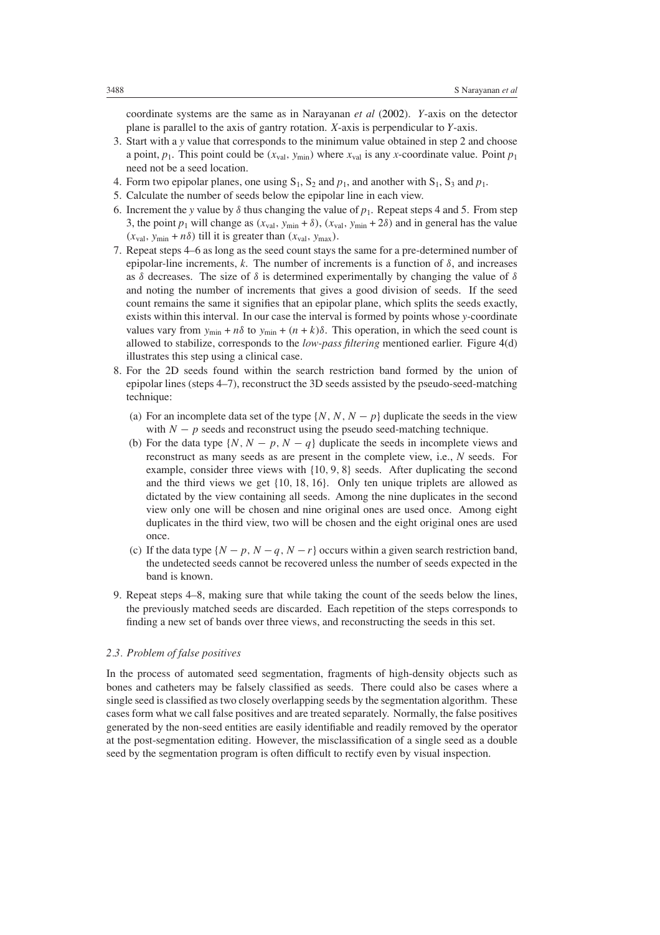coordinate systems are the same as in Narayanan *et al* [\(2002\)](#page-11-8). *Y*-axis on the detector plane is parallel to the axis of gantry rotation. *X*-axis is perpendicular to *Y*-axis.

- 3. Start with a *y* value that corresponds to the minimum value obtained in step 2 and choose a point,  $p_1$ . This point could be  $(x_{val}, y_{min})$  where  $x_{val}$  is any *x*-coordinate value. Point  $p_1$ need not be a seed location.
- 4. Form two epipolar planes, one using  $S_1$ ,  $S_2$  and  $p_1$ , and another with  $S_1$ ,  $S_3$  and  $p_1$ .
- 5. Calculate the number of seeds below the epipolar line in each view.
- 6. Increment the *y* value by  $\delta$  thus changing the value of  $p_1$ . Repeat steps 4 and 5. From step 3, the point  $p_1$  will change as  $(x_{val}, y_{min} + \delta)$ ,  $(x_{val}, y_{min} + 2\delta)$  and in general has the value  $(x_{\text{val}}, y_{\text{min}} + n\delta)$  till it is greater than  $(x_{\text{val}}, y_{\text{max}})$ .
- 7. Repeat steps 4–6 as long as the seed count stays the same for a pre-determined number of epipolar-line increments, *k*. The number of increments is a function of *δ*, and increases as *δ* decreases. The size of *δ* is determined experimentally by changing the value of *δ* and noting the number of increments that gives a good division of seeds. If the seed count remains the same it signifies that an epipolar plane, which splits the seeds exactly, exists within this interval. In our case the interval is formed by points whose *y-*coordinate values vary from  $y_{\text{min}} + n\delta$  to  $y_{\text{min}} + (n + k)\delta$ . This operation, in which the seed count is allowed to stabilize, corresponds to the *low-pass filtering* mentioned earlier. Figure [4\(](#page-8-0)d) illustrates this step using a clinical case.
- 8. For the 2D seeds found within the search restriction band formed by the union of epipolar lines (steps 4–7), reconstruct the 3D seeds assisted by the pseudo-seed-matching technique:
	- (a) For an incomplete data set of the type  $\{N, N, N p\}$  duplicate the seeds in the view with  $N - p$  seeds and reconstruct using the pseudo seed-matching technique.
	- (b) For the data type  $\{N, N p, N q\}$  duplicate the seeds in incomplete views and reconstruct as many seeds as are present in the complete view, i.e., *N* seeds. For example, consider three views with {10*,* 9*,* 8} seeds. After duplicating the second and the third views we get {10*,* 18*,* 16}. Only ten unique triplets are allowed as dictated by the view containing all seeds. Among the nine duplicates in the second view only one will be chosen and nine original ones are used once. Among eight duplicates in the third view, two will be chosen and the eight original ones are used once.
	- (c) If the data type  $\{N p, N q, N r\}$  occurs within a given search restriction band, the undetected seeds cannot be recovered unless the number of seeds expected in the band is known.
- 9. Repeat steps 4–8, making sure that while taking the count of the seeds below the lines, the previously matched seeds are discarded. Each repetition of the steps corresponds to finding a new set of bands over three views, and reconstructing the seeds in this set.

#### *2.3. Problem of false positives*

In the process of automated seed segmentation, fragments of high-density objects such as bones and catheters may be falsely classified as seeds. There could also be cases where a single seed is classified as two closely overlapping seeds by the segmentation algorithm. These cases form what we call false positives and are treated separately. Normally, the false positives generated by the non-seed entities are easily identifiable and readily removed by the operator at the post-segmentation editing. However, the misclassification of a single seed as a double seed by the segmentation program is often difficult to rectify even by visual inspection.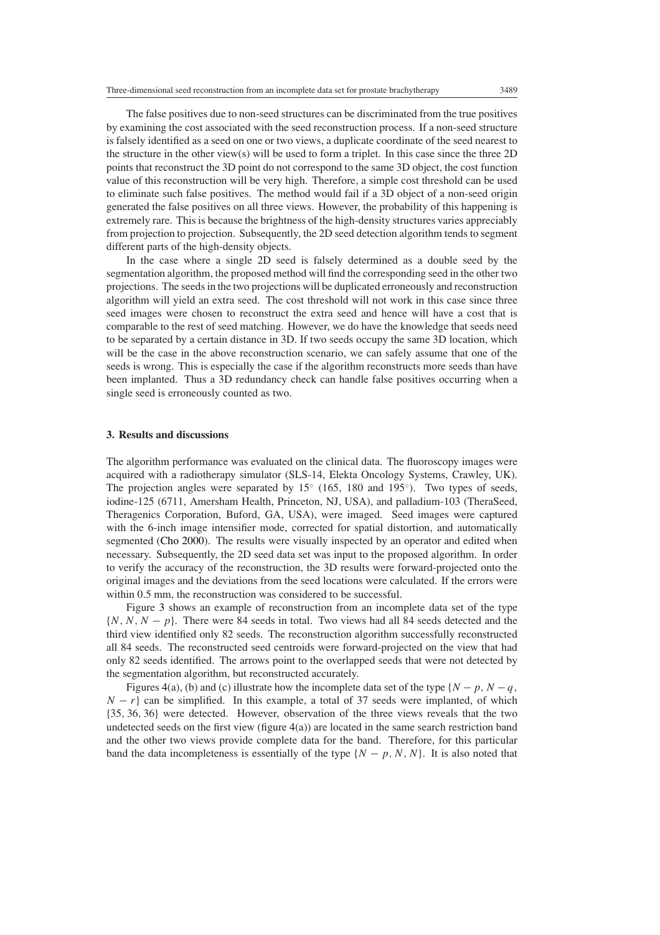value of this reconstruction will be very high. Therefore, a simple cost threshold can be used to eliminate such false positives. The method would fail if a 3D object of a non-seed origin generated the false positives on all three views. However, the probability of this happening is extremely rare. This is because the brightness of the high-density structures varies appreciably from projection to projection. Subsequently, the 2D seed detection algorithm tends to segment different parts of the high-density objects.

In the case where a single 2D seed is falsely determined as a double seed by the segmentation algorithm, the proposed method will find the corresponding seed in the other two projections. The seeds in the two projections will be duplicated erroneously and reconstruction algorithm will yield an extra seed. The cost threshold will not work in this case since three seed images were chosen to reconstruct the extra seed and hence will have a cost that is comparable to the rest of seed matching. However, we do have the knowledge that seeds need to be separated by a certain distance in 3D. If two seeds occupy the same 3D location, which will be the case in the above reconstruction scenario, we can safely assume that one of the seeds is wrong. This is especially the case if the algorithm reconstructs more seeds than have been implanted. Thus a 3D redundancy check can handle false positives occurring when a single seed is erroneously counted as two.

## **3. Results and discussions**

The algorithm performance was evaluated on the clinical data. The fluoroscopy images were acquired with a radiotherapy simulator (SLS-14, Elekta Oncology Systems, Crawley, UK). The projection angles were separated by  $15°$  (165, 180 and 195°). Two types of seeds, iodine-125 (6711, Amersham Health, Princeton, NJ, USA), and palladium-103 (TheraSeed, Theragenics Corporation, Buford, GA, USA), were imaged. Seed images were captured with the 6-inch image intensifier mode, corrected for spatial distortion, and automatically segmented [\(Cho 2000](#page-11-12)). The results were visually inspected by an operator and edited when necessary. Subsequently, the 2D seed data set was input to the proposed algorithm. In order to verify the accuracy of the reconstruction, the 3D results were forward-projected onto the original images and the deviations from the seed locations were calculated. If the errors were within 0.5 mm, the reconstruction was considered to be successful.

Figure [3](#page-7-0) shows an example of reconstruction from an incomplete data set of the type {*N,N,N* − *p*}. There were 84 seeds in total. Two views had all 84 seeds detected and the third view identified only 82 seeds. The reconstruction algorithm successfully reconstructed all 84 seeds. The reconstructed seed centroids were forward-projected on the view that had only 82 seeds identified. The arrows point to the overlapped seeds that were not detected by the segmentation algorithm, but reconstructed accurately.

Figures [4\(](#page-8-0)a), (b) and (c) illustrate how the incomplete data set of the type  $\{N - p, N - q,$  $N - r$ } can be simplified. In this example, a total of 37 seeds were implanted, of which {35*,* 36*,* 36} were detected. However, observation of the three views reveals that the two undetected seeds on the first view (figure  $4(a)$  $4(a)$ ) are located in the same search restriction band and the other two views provide complete data for the band. Therefore, for this particular band the data incompleteness is essentially of the type  $\{N - p, N, N\}$ . It is also noted that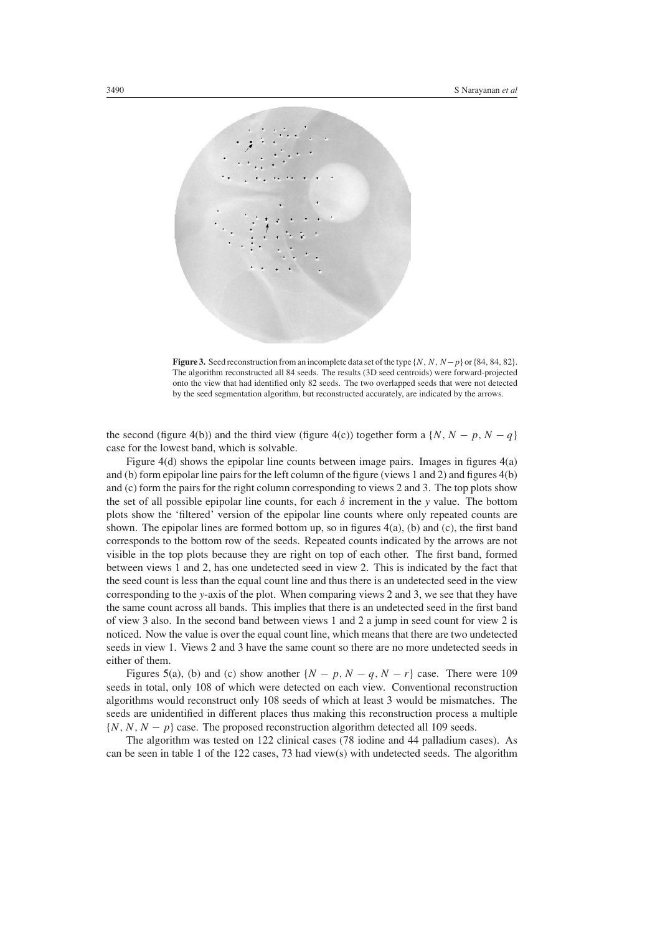

<span id="page-7-0"></span>**Figure 3.** Seed reconstruction from an incomplete data set of the type {*N,N,N*−*p*} or{84*,* 84*,* 82}. The algorithm reconstructed all 84 seeds. The results (3D seed centroids) were forward-projected onto the view that had identified only 82 seeds. The two overlapped seeds that were not detected by the seed segmentation algorithm, but reconstructed accurately, are indicated by the arrows.

the second (figure [4\(](#page-8-0)b)) and the third view (figure 4(c)) together form a  $\{N, N - p, N - q\}$ case for the lowest band, which is solvable.

Figure [4\(](#page-8-0)d) shows the epipolar line counts between image pairs. Images in figures [4\(](#page-8-0)a) and (b) form epipolar line pairs for the left column of the figure (views 1 and 2) and figures [4\(](#page-8-0)b) and (c) form the pairs for the right column corresponding to views 2 and 3. The top plots show the set of all possible epipolar line counts, for each *δ* increment in the *y* value. The bottom plots show the 'filtered' version of the epipolar line counts where only repeated counts are shown. The epipolar lines are formed bottom up, so in figures [4\(](#page-8-0)a), (b) and (c), the first band corresponds to the bottom row of the seeds. Repeated counts indicated by the arrows are not visible in the top plots because they are right on top of each other. The first band, formed between views 1 and 2, has one undetected seed in view 2. This is indicated by the fact that the seed count is less than the equal count line and thus there is an undetected seed in the view corresponding to the *y*-axis of the plot. When comparing views 2 and 3, we see that they have the same count across all bands. This implies that there is an undetected seed in the first band of view 3 also. In the second band between views 1 and 2 a jump in seed count for view 2 is noticed. Now the value is over the equal count line, which means that there are two undetected seeds in view 1. Views 2 and 3 have the same count so there are no more undetected seeds in either of them.

Figures [5\(](#page-9-0)a), (b) and (c) show another  $\{N - p, N - q, N - r\}$  case. There were 109 seeds in total, only 108 of which were detected on each view. Conventional reconstruction algorithms would reconstruct only 108 seeds of which at least 3 would be mismatches. The seeds are unidentified in different places thus making this reconstruction process a multiple  $\{N, N, N - p\}$  case. The proposed reconstruction algorithm detected all 109 seeds.

The algorithm was tested on 122 clinical cases (78 iodine and 44 palladium cases). As can be seen in table [1](#page-9-1) of the 122 cases, 73 had view(s) with undetected seeds. The algorithm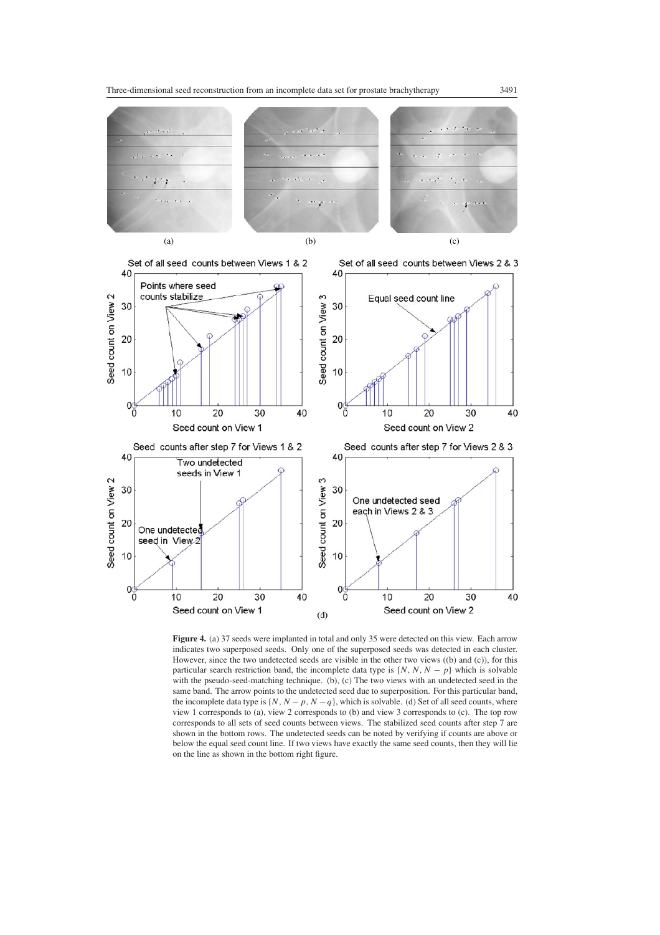



<span id="page-8-0"></span>Figure 4. (a) 37 seeds were implanted in total and only 35 were detected on this view. Each arrow indicates two superposed seeds. Only one of the superposed seeds was detected in each cluster. However, since the two undetected seeds are visible in the other two views ((b) and (c)), for this particular search restriction band, the incomplete data type is  $\{N, N, N - p\}$  which is solvable with the pseudo-seed-matching technique. (b), (c) The two views with an undetected seed in the same band. The arrow points to the undetected seed due to superposition. For this particular band, the incomplete data type is  $\{N, N - p, N - q\}$ , which is solvable. (d) Set of all seed counts, where view 1 corresponds to (a), view 2 corresponds to (b) and view 3 corresponds to (c). The top row corresponds to all sets of seed counts between views. The stabilized seed counts after step 7 are shown in the bottom rows. The undetected seeds can be noted by verifying if counts are above or below the equal seed count line. If two views have exactly the same seed counts, then they will lie on the line as shown in the bottom right figure.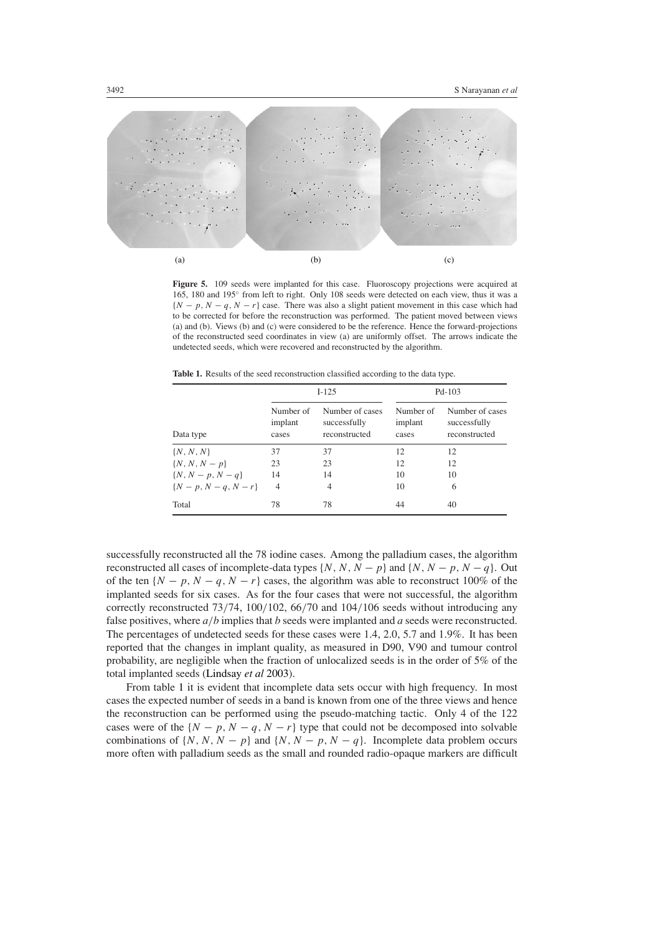

<span id="page-9-0"></span>**Figure 5.** 109 seeds were implanted for this case. Fluoroscopy projections were acquired at 165, 180 and 195◦ from left to right. Only 108 seeds were detected on each view, thus it was a  ${N - p, N - q, N - r}$  case. There was also a slight patient movement in this case which had to be corrected for before the reconstruction was performed. The patient moved between views (a) and (b). Views (b) and (c) were considered to be the reference. Hence the forward-projections of the reconstructed seed coordinates in view (a) are uniformly offset. The arrows indicate the undetected seeds, which were recovered and reconstructed by the algorithm.

**Table 1.** Results of the seed reconstruction classified according to the data type.

<span id="page-9-1"></span>

|                     | $I-125$                       |                                                  | $Pd-103$                      |                                                  |
|---------------------|-------------------------------|--------------------------------------------------|-------------------------------|--------------------------------------------------|
| Data type           | Number of<br>implant<br>cases | Number of cases<br>successfully<br>reconstructed | Number of<br>implant<br>cases | Number of cases<br>successfully<br>reconstructed |
| $\{N, N, N\}$       | 37                            | 37                                               | 12                            | 12                                               |
| $\{N, N, N-p\}$     | 23                            | 23                                               | 12                            | 12                                               |
| $\{N, N-p, N-q\}$   | 14                            | 14                                               | 10                            | 10                                               |
| $\{N-p, N-q, N-r\}$ | 4                             | 4                                                | 10                            | 6                                                |
| Total               | 78                            | 78                                               | 44                            | 40                                               |

successfully reconstructed all the 78 iodine cases. Among the palladium cases, the algorithm reconstructed all cases of incomplete-data types  $\{N, N, N - p\}$  and  $\{N, N - p, N - q\}$ . Out of the ten  $\{N-p, N-q, N-r\}$  cases, the algorithm was able to reconstruct 100% of the implanted seeds for six cases. As for the four cases that were not successful, the algorithm correctly reconstructed 73*/*74, 100*/*102, 66*/*70 and 104*/*106 seeds without introducing any false positives, where *a/b* implies that *b* seeds were implanted and *a* seeds were reconstructed. The percentages of undetected seeds for these cases were 1.4, 2.0, 5.7 and 1.9%. It has been reported that the changes in implant quality, as measured in D90, V90 and tumour control probability, are negligible when the fraction of unlocalized seeds is in the order of 5% of the total implanted seeds [\(Lindsay](#page-11-13) *et al* [2003](#page-11-13)).

From table [1](#page-9-1) it is evident that incomplete data sets occur with high frequency. In most cases the expected number of seeds in a band is known from one of the three views and hence the reconstruction can be performed using the pseudo-matching tactic. Only 4 of the 122 cases were of the  $\{N - p, N - q, N - r\}$  type that could not be decomposed into solvable combinations of  $\{N, N, N - p\}$  and  $\{N, N - p, N - q\}$ . Incomplete data problem occurs more often with palladium seeds as the small and rounded radio-opaque markers are difficult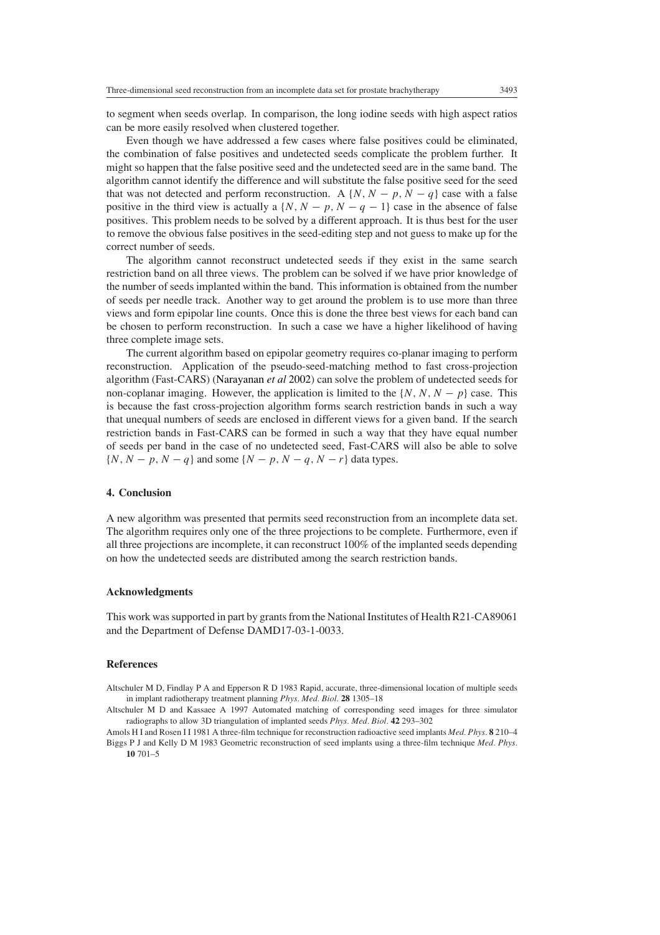to segment when seeds overlap. In comparison, the long iodine seeds with high aspect ratios can be more easily resolved when clustered together.

Even though we have addressed a few cases where false positives could be eliminated, the combination of false positives and undetected seeds complicate the problem further. It might so happen that the false positive seed and the undetected seed are in the same band. The algorithm cannot identify the difference and will substitute the false positive seed for the seed that was not detected and perform reconstruction. A  $\{N, N - p, N - q\}$  case with a false positive in the third view is actually a  $\{N, N - p, N - q - 1\}$  case in the absence of false positives. This problem needs to be solved by a different approach. It is thus best for the user to remove the obvious false positives in the seed-editing step and not guess to make up for the correct number of seeds.

The algorithm cannot reconstruct undetected seeds if they exist in the same search restriction band on all three views. The problem can be solved if we have prior knowledge of the number of seeds implanted within the band. This information is obtained from the number of seeds per needle track. Another way to get around the problem is to use more than three views and form epipolar line counts. Once this is done the three best views for each band can be chosen to perform reconstruction. In such a case we have a higher likelihood of having three complete image sets.

The current algorithm based on epipolar geometry requires co-planar imaging to perform reconstruction. Application of the pseudo-seed-matching method to fast cross-projection algorithm (Fast-CARS) [\(Narayanan](#page-11-8) *et al* [2002](#page-11-8)) can solve the problem of undetected seeds for non-coplanar imaging. However, the application is limited to the  $\{N, N, N - p\}$  case. This is because the fast cross-projection algorithm forms search restriction bands in such a way that unequal numbers of seeds are enclosed in different views for a given band. If the search restriction bands in Fast-CARS can be formed in such a way that they have equal number of seeds per band in the case of no undetected seed, Fast-CARS will also be able to solve  $\{N, N-p, N-q\}$  and some  $\{N-p, N-q, N-r\}$  data types.

## **4. Conclusion**

A new algorithm was presented that permits seed reconstruction from an incomplete data set. The algorithm requires only one of the three projections to be complete. Furthermore, even if all three projections are incomplete, it can reconstruct 100% of the implanted seeds depending on how the undetected seeds are distributed among the search restriction bands.

#### **Acknowledgments**

This work was supported in part by grants from the National Institutes of Health R21-CA89061 and the Department of Defense DAMD17-03-1-0033.

#### **References**

<span id="page-10-3"></span>Altschuler M D, Findlay P A and Epperson R D 1983 Rapid, accurate, three-dimensional location of multiple seeds in implant radiotherapy treatment planning *Phys. Med. Biol.* **28** 1305–18

<span id="page-10-2"></span><span id="page-10-0"></span>Amols H I and Rosen I I 1981 A three-film technique for reconstruction radioactive seed implants *Med. Phys.* **8** 210–4 Biggs P J and Kelly D M 1983 Geometric reconstruction of seed implants using a three-film technique *Med. Phys.* **10** 701–5

<span id="page-10-1"></span>Altschuler M D and Kassaee A 1997 Automated matching of corresponding seed images for three simulator radiographs to allow 3D triangulation of implanted seeds *Phys. Med. Biol.* **42** 293–302